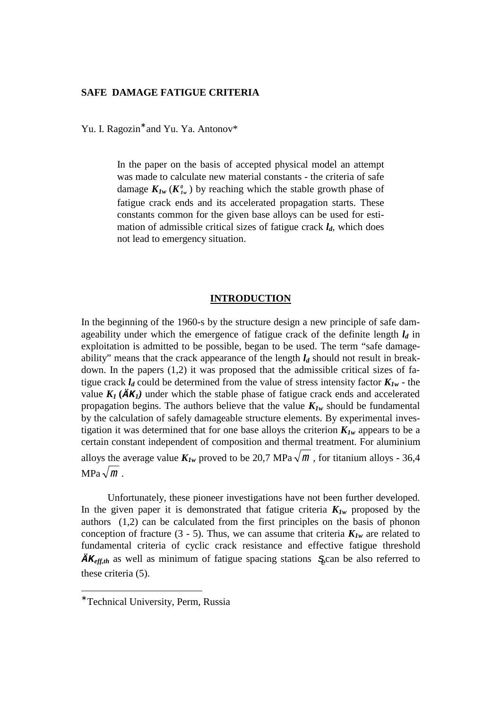## **SAFE DAMAGE FATIGUE CRITERIA**

Yu. I. Ragozin<sup>\*</sup> and Yu. Ya. Antonov\*

In the paper on the basis of accepted physical model an attempt was made to calculate new material constants - the criteria of safe damage  $K_{Iw}$  ( $K^0_{Iw}$ ) by reaching which the stable growth phase of fatigue crack ends and its accelerated propagation starts. These constants common for the given base alloys can be used for estimation of admissible critical sizes of fatigue crack  $l_d$ , which does not lead to emergency situation.

# **INTRODUCTION**

In the beginning of the 1960-s by the structure design a new principle of safe damageability under which the emergence of fatigue crack of the definite length  $l_d$  in exploitation is admitted to be possible, began to be used. The term "safe damageability" means that the crack appearance of the length  $l_d$  should not result in breakdown. In the papers (1,2) it was proposed that the admissible critical sizes of fatigue crack  $l_d$  could be determined from the value of stress intensity factor  $K_{1w}$  - the value  $K_I$  ( $\ddot{A}K_I$ ) under which the stable phase of fatigue crack ends and accelerated propagation begins. The authors believe that the value  $K_{1w}$  should be fundamental by the calculation of safely damageable structure elements. By experimental investigation it was determined that for one base alloys the criterion  $K_{1w}$  appears to be a certain constant independent of composition and thermal treatment. For aluminium alloys the average value  $K_{1w}$  proved to be 20,7 MPa $\sqrt{m}$ , for titanium alloys - 36,4  $MPa\sqrt{m}$ .

Unfortunately, these pioneer investigations have not been further developed. In the given paper it is demonstrated that fatigue criteria  $K_{1w}$  proposed by the authors (1,2) can be calculated from the first principles on the basis of phonon conception of fracture (3 - 5). Thus, we can assume that criteria  $K_{1w}$  are related to fundamental criteria of cyclic crack resistance and effective fatigue threshold  $\ddot{A}K_{eff,th}$  as well as minimum of fatigue spacing stations  $S_{\text{c}}$  can be also referred to these criteria (5).

-

<sup>∗</sup> Technical University, Perm, Russia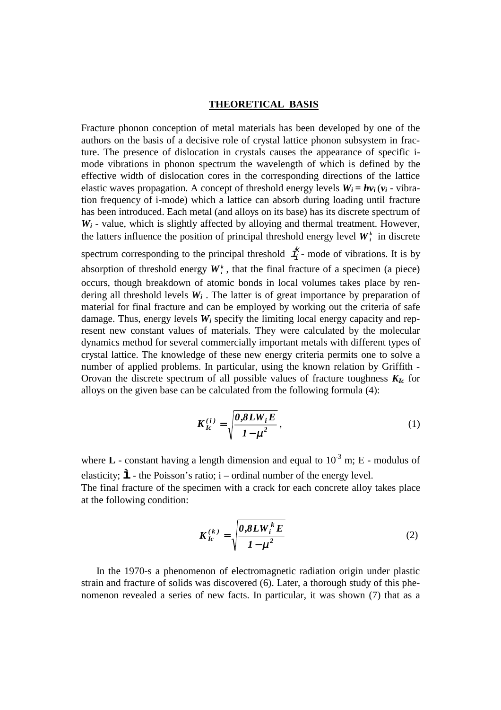#### **THEORETICAL BASIS**

Fracture phonon conception of metal materials has been developed by one of the authors on the basis of a decisive role of crystal lattice phonon subsystem in fracture. The presence of dislocation in crystals causes the appearance of specific imode vibrations in phonon spectrum the wavelength of which is defined by the effective width of dislocation cores in the corresponding directions of the lattice elastic waves propagation. A concept of threshold energy levels  $W_i = h v_i$  ( $v_i$  - vibration frequency of i-mode) which a lattice can absorb during loading until fracture has been introduced. Each metal (and alloys on its base) has its discrete spectrum of *Wi* - value, which is slightly affected by alloying and thermal treatment. However, the latters influence the position of principal threshold energy level  $W_i^k$  in discrete

spectrum corresponding to the principal threshold  $\vec{I}^k_i$ - mode of vibrations. It is by absorption of threshold energy  $W_i^k$ , that the final fracture of a specimen (a piece) occurs, though breakdown of atomic bonds in local volumes takes place by rendering all threshold levels  $W_i$ . The latter is of great importance by preparation of material for final fracture and can be employed by working out the criteria of safe damage. Thus, energy levels  $W_i$  specify the limiting local energy capacity and represent new constant values of materials. They were calculated by the molecular dynamics method for several commercially important metals with different types of crystal lattice. The knowledge of these new energy criteria permits one to solve a number of applied problems. In particular, using the known relation by Griffith - Orovan the discrete spectrum of all possible values of fracture toughness  $K_{Ic}$  for alloys on the given base can be calculated from the following formula (4):

$$
K_{Ic}^{(i)} = \sqrt{\frac{\theta_{i} \mathcal{S} L W_{i} E}{1 - \mu^{2}}},
$$
\n(1)

where  $L$  - constant having a length dimension and equal to  $10^{-3}$  m; E - modulus of elasticity:  $\tilde{\mathbf{\mu}}$  - the Poisson's ratio:  $i$  – ordinal number of the energy level. The final fracture of the specimen with a crack for each concrete alloy takes place at the following condition:

$$
K_{Ic}^{(k)} = \sqrt{\frac{\theta_0 8L W_i^k E}{1 - \mu^2}}
$$
 (2)

 In the 1970-s a phenomenon of electromagnetic radiation origin under plastic strain and fracture of solids was discovered (6). Later, a thorough study of this phenomenon revealed a series of new facts. In particular, it was shown (7) that as a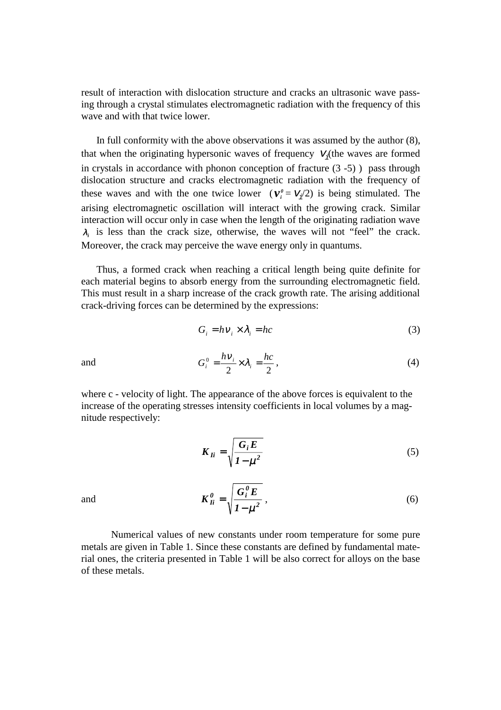result of interaction with dislocation structure and cracks an ultrasonic wave passing through a crystal stimulates electromagnetic radiation with the frequency of this wave and with that twice lower.

 In full conformity with the above observations it was assumed by the author (8), that when the originating hypersonic waves of frequency  $v_i$ (the waves are formed in crystals in accordance with phonon conception of fracture (3 -5) ) pass through dislocation structure and cracks electromagnetic radiation with the frequency of these waves and with the one twice lower  $(v_i^0 = v_i/2)$  is being stimulated. The arising electromagnetic oscillation will interact with the growing crack. Similar interaction will occur only in case when the length of the originating radiation wave  $\lambda_i$  is less than the crack size, otherwise, the waves will not "feel" the crack. Moreover, the crack may perceive the wave energy only in quantums.

 Thus, a formed crack when reaching a critical length being quite definite for each material begins to absorb energy from the surrounding electromagnetic field. This must result in a sharp increase of the crack growth rate. The arising additional crack-driving forces can be determined by the expressions:

$$
G_i = h v_i \times \lambda_i = hc \tag{3}
$$

and

$$
G_i^0 = \frac{h v_i}{2} \times \lambda_i = \frac{hc}{2},\qquad(4)
$$

where c - velocity of light. The appearance of the above forces is equivalent to the increase of the operating stresses intensity coefficients in local volumes by a magnitude respectively:

$$
K_{Ii} = \sqrt{\frac{G_i E}{1 - \mu^2}}
$$
 (5)

and 
$$
K_{Ii}^{\theta} = \sqrt{\frac{G_i^{\theta} E}{I - \mu^2}},
$$
 (6)

Numerical values of new constants under room temperature for some pure metals are given in Table 1. Since these constants are defined by fundamental material ones, the criteria presented in Table 1 will be also correct for alloys on the base of these metals.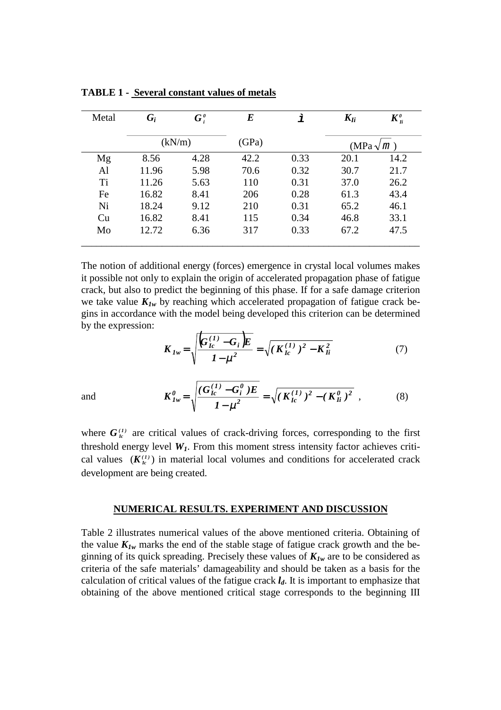| Metal          | $G_i$  | $G_i^{\theta}$ | $\bm E$ | ì    | $K_{Ii}$          | $\boldsymbol{K}_{Ii}^{\theta}$ |
|----------------|--------|----------------|---------|------|-------------------|--------------------------------|
|                | (kN/m) |                | (GPa)   |      | (MPa $\sqrt{m}$ ) |                                |
| Mg             | 8.56   | 4.28           | 42.2    | 0.33 | 20.1              | 14.2                           |
| Al             | 11.96  | 5.98           | 70.6    | 0.32 | 30.7              | 21.7                           |
| T <sub>i</sub> | 11.26  | 5.63           | 110     | 0.31 | 37.0              | 26.2                           |
| Fe             | 16.82  | 8.41           | 206     | 0.28 | 61.3              | 43.4                           |
| Ni             | 18.24  | 9.12           | 210     | 0.31 | 65.2              | 46.1                           |
| Cu             | 16.82  | 8.41           | 115     | 0.34 | 46.8              | 33.1                           |
| Mo             | 12.72  | 6.36           | 317     | 0.33 | 67.2              | 47.5                           |

**TABLE 1 - Several constant values of metals**

The notion of additional energy (forces) emergence in crystal local volumes makes it possible not only to explain the origin of accelerated propagation phase of fatigue crack, but also to predict the beginning of this phase. If for a safe damage criterion we take value  $K_{1w}$  by reaching which accelerated propagation of fatigue crack begins in accordance with the model being developed this criterion can be determined by the expression:

$$
K_{Iw} = \sqrt{\frac{G_{Ic}^{(1)} - G_i E}{1 - \mu^2}} = \sqrt{(K_{Ic}^{(1)})^2 - K_{Ii}^2}
$$
 (7)

and 
$$
K_{Iw}^0 = \sqrt{\frac{(G_{Ic}^{(1)} - G_i^0)E}{1 - \mu^2}} = \sqrt{(K_{Ic}^{(1)})^2 - (K_{Ii}^0)^2},
$$
 (8)

where  $G_k^{(1)}$  are critical values of crack-driving forces, corresponding to the first threshold energy level  $W_l$ . From this moment stress intensity factor achieves critical values  $(K_k^{(1)})$  in material local volumes and conditions for accelerated crack development are being created.

### **NUMERICAL RESULTS. EXPERIMENT AND DISCUSSION**

Table 2 illustrates numerical values of the above mentioned criteria. Obtaining of the value  $K_{1w}$  marks the end of the stable stage of fatigue crack growth and the beginning of its quick spreading. Precisely these values of  $K_{1w}$  are to be considered as criteria of the safe materials' damageability and should be taken as a basis for the calculation of critical values of the fatigue crack *ld*. It is important to emphasize that obtaining of the above mentioned critical stage corresponds to the beginning III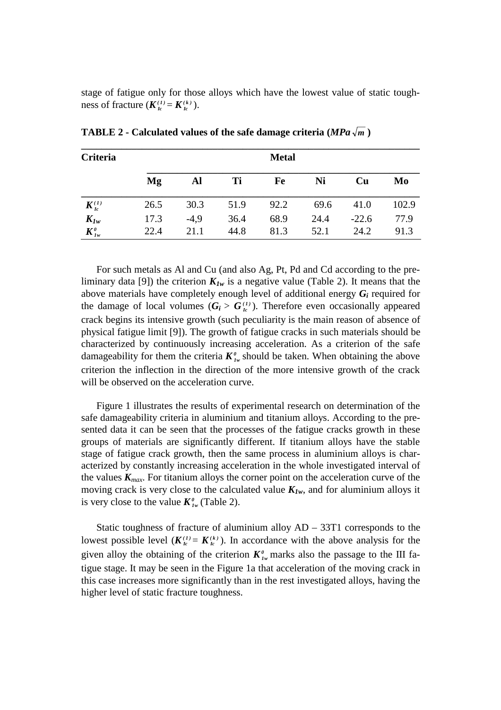stage of fatigue only for those alloys which have the lowest value of static toughness of fracture  $(K_{\mathbf{k}}^{(1)} = K_{\mathbf{k}}^{(k)}).$ 

| Criteria                                   | <b>Metal</b> |                |              |              |              |                 |              |  |  |
|--------------------------------------------|--------------|----------------|--------------|--------------|--------------|-----------------|--------------|--|--|
|                                            | Mg           | Al             | Ti           | Fe           | Ni           | Cu              | Mo           |  |  |
| $K_k^{(1)}$                                | 26.5         | 30.3           | 51.9         | 92.2         | 69.6         | 41.0            | 102.9        |  |  |
| $K_{Iw}$<br>$\boldsymbol{K}_{Iw}^{\theta}$ | 17.3<br>22.4 | $-4,9$<br>21.1 | 36.4<br>44.8 | 68.9<br>81.3 | 24.4<br>52.1 | $-22.6$<br>24.2 | 77.9<br>91.3 |  |  |

**TABLE 2 - Calculated values of the safe damage criteria (***MPa* $\sqrt{m}$ **)** 

 For such metals as Al and Cu (and also Ag, Pt, Pd and Cd according to the preliminary data [9]) the criterion  $K_{1w}$  is a negative value (Table 2). It means that the above materials have completely enough level of additional energy *Gi* required for the damage of local volumes  $(G_i > G_k^{(1)})$ . Therefore even occasionally appeared crack begins its intensive growth (such peculiarity is the main reason of absence of physical fatigue limit [9]). The growth of fatigue cracks in such materials should be characterized by continuously increasing acceleration. As a criterion of the safe damageability for them the criteria  $K^{\theta}_{I^w}$  should be taken. When obtaining the above criterion the inflection in the direction of the more intensive growth of the crack will be observed on the acceleration curve.

 Figure 1 illustrates the results of experimental research on determination of the safe damageability criteria in aluminium and titanium alloys. According to the presented data it can be seen that the processes of the fatigue cracks growth in these groups of materials are significantly different. If titanium alloys have the stable stage of fatigue crack growth, then the same process in aluminium alloys is characterized by constantly increasing acceleration in the whole investigated interval of the values  $K_{max}$ . For titanium alloys the corner point on the acceleration curve of the moving crack is very close to the calculated value  $K_{I_w}$ , and for aluminium alloys it is very close to the value  $K^{\theta}_{1w}$  (Table 2).

 Static toughness of fracture of aluminium alloy AD – 33T1 corresponds to the lowest possible level  $(K_{i\epsilon}^{(1)} = K_{i\epsilon}^{(k)})$ . In accordance with the above analysis for the given alloy the obtaining of the criterion  $K^{\theta}_{1w}$  marks also the passage to the III fatigue stage. It may be seen in the Figure 1a that acceleration of the moving crack in this case increases more significantly than in the rest investigated alloys, having the higher level of static fracture toughness.